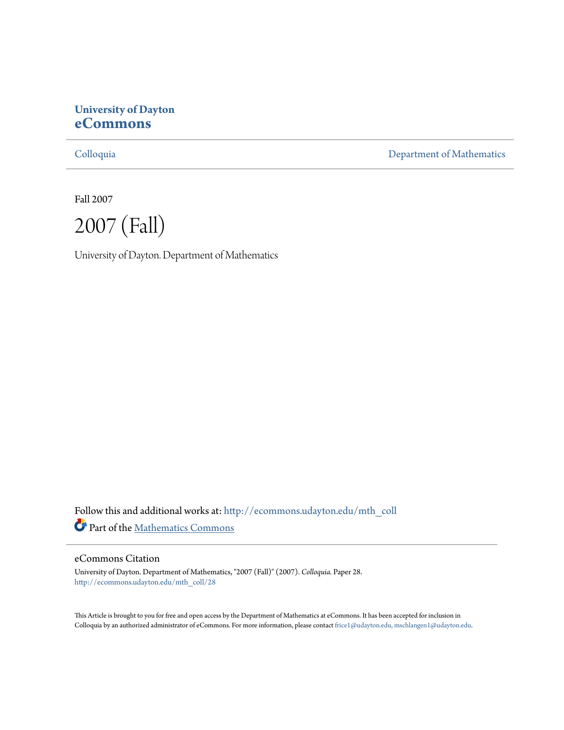# **University of Dayton [eCommons](http://ecommons.udayton.edu?utm_source=ecommons.udayton.edu%2Fmth_coll%2F28&utm_medium=PDF&utm_campaign=PDFCoverPages)**

[Colloquia](http://ecommons.udayton.edu/mth_coll?utm_source=ecommons.udayton.edu%2Fmth_coll%2F28&utm_medium=PDF&utm_campaign=PDFCoverPages) [Department of Mathematics](http://ecommons.udayton.edu/mth?utm_source=ecommons.udayton.edu%2Fmth_coll%2F28&utm_medium=PDF&utm_campaign=PDFCoverPages)

Fall 2007

2007 (Fall)

University of Dayton. Department of Mathematics

Follow this and additional works at: [http://ecommons.udayton.edu/mth\\_coll](http://ecommons.udayton.edu/mth_coll?utm_source=ecommons.udayton.edu%2Fmth_coll%2F28&utm_medium=PDF&utm_campaign=PDFCoverPages) Part of the [Mathematics Commons](http://network.bepress.com/hgg/discipline/174?utm_source=ecommons.udayton.edu%2Fmth_coll%2F28&utm_medium=PDF&utm_campaign=PDFCoverPages)

#### eCommons Citation

University of Dayton. Department of Mathematics, "2007 (Fall)" (2007). *Colloquia.* Paper 28. [http://ecommons.udayton.edu/mth\\_coll/28](http://ecommons.udayton.edu/mth_coll/28?utm_source=ecommons.udayton.edu%2Fmth_coll%2F28&utm_medium=PDF&utm_campaign=PDFCoverPages)

This Article is brought to you for free and open access by the Department of Mathematics at eCommons. It has been accepted for inclusion in Colloquia by an authorized administrator of eCommons. For more information, please contact [frice1@udayton.edu, mschlangen1@udayton.edu.](mailto:frice1@udayton.edu,%20mschlangen1@udayton.edu)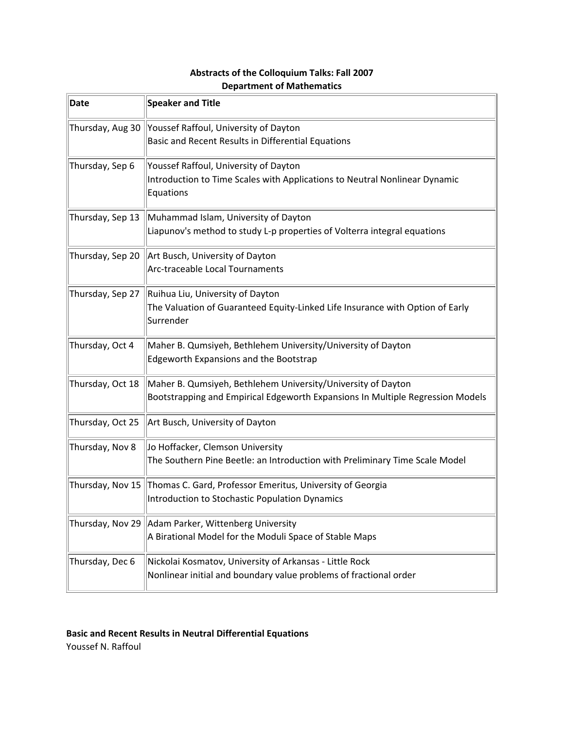# **Abstracts of the Colloquium Talks: Fall 2007 Department of Mathematics**

| Date             | <b>Speaker and Title</b>                                                                                                                       |
|------------------|------------------------------------------------------------------------------------------------------------------------------------------------|
| Thursday, Aug 30 | Youssef Raffoul, University of Dayton<br>Basic and Recent Results in Differential Equations                                                    |
| Thursday, Sep 6  | Youssef Raffoul, University of Dayton<br>Introduction to Time Scales with Applications to Neutral Nonlinear Dynamic<br>Equations               |
| Thursday, Sep 13 | Muhammad Islam, University of Dayton<br>Liapunov's method to study L-p properties of Volterra integral equations                               |
| Thursday, Sep 20 | Art Busch, University of Dayton<br>Arc-traceable Local Tournaments                                                                             |
| Thursday, Sep 27 | Ruihua Liu, University of Dayton<br>The Valuation of Guaranteed Equity-Linked Life Insurance with Option of Early<br>Surrender                 |
| Thursday, Oct 4  | Maher B. Qumsiyeh, Bethlehem University/University of Dayton<br><b>Edgeworth Expansions and the Bootstrap</b>                                  |
| Thursday, Oct 18 | Maher B. Qumsiyeh, Bethlehem University/University of Dayton<br>Bootstrapping and Empirical Edgeworth Expansions In Multiple Regression Models |
| Thursday, Oct 25 | Art Busch, University of Dayton                                                                                                                |
| Thursday, Nov 8  | Jo Hoffacker, Clemson University<br>The Southern Pine Beetle: an Introduction with Preliminary Time Scale Model                                |
| Thursday, Nov 15 | Thomas C. Gard, Professor Emeritus, University of Georgia<br>Introduction to Stochastic Population Dynamics                                    |
| Thursday, Nov 29 | Adam Parker, Wittenberg University<br>A Birational Model for the Moduli Space of Stable Maps                                                   |
| Thursday, Dec 6  | Nickolai Kosmatov, University of Arkansas - Little Rock<br>Nonlinear initial and boundary value problems of fractional order                   |

# **Basic and Recent Results in Neutral Differential Equations**

Youssef N. Raffoul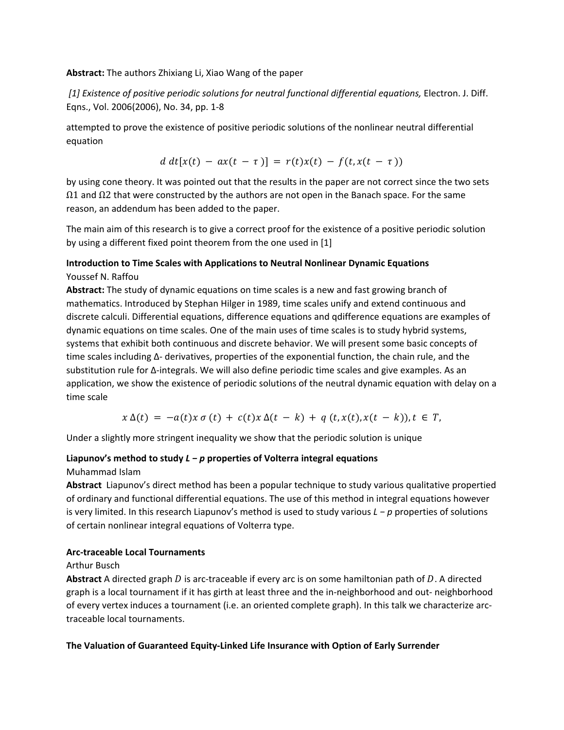### **Abstract:** The authors Zhixiang Li, Xiao Wang of the paper

*[1] Existence of positive periodic solutions for neutral functional differential equations,* Electron. J. Diff. Eqns., Vol. 2006(2006), No. 34, pp. 1‐8

attempted to prove the existence of positive periodic solutions of the nonlinear neutral differential equation

$$
d\,dt[x(t) - ax(t-\tau)] = r(t)x(t) - f(t,x(t-\tau))
$$

by using cone theory. It was pointed out that the results in the paper are not correct since the two sets  $Ω1$  and  $Ω2$  that were constructed by the authors are not open in the Banach space. For the same reason, an addendum has been added to the paper.

The main aim of this research is to give a correct proof for the existence of a positive periodic solution by using a different fixed point theorem from the one used in [1]

### **Introduction to Time Scales with Applications to Neutral Nonlinear Dynamic Equations** Youssef N. Raffou

**Abstract:** The study of dynamic equations on time scales is a new and fast growing branch of mathematics. Introduced by Stephan Hilger in 1989, time scales unify and extend continuous and discrete calculi. Differential equations, difference equations and qdifference equations are examples of dynamic equations on time scales. One of the main uses of time scales is to study hybrid systems, systems that exhibit both continuous and discrete behavior. We will present some basic concepts of time scales including ∆‐ derivatives, properties of the exponential function, the chain rule, and the substitution rule for ∆‐integrals. We will also define periodic time scales and give examples. As an application, we show the existence of periodic solutions of the neutral dynamic equation with delay on a time scale

 $x \Delta(t) = -a(t)x \sigma(t) + c(t)x \Delta(t-k) + q(t,x(t),x(t-k)), t \in T$ 

Under a slightly more stringent inequality we show that the periodic solution is unique

### **Liapunov's method to study** *L − p* **properties of Volterra integral equations**

### Muhammad Islam

**Abstract** Liapunov's direct method has been a popular technique to study various qualitative propertied of ordinary and functional differential equations. The use of this method in integral equations however is very limited. In this research Liapunov's method is used to study various *L − p* properties of solutions of certain nonlinear integral equations of Volterra type.

### **Arc‐traceable Local Tournaments**

### Arthur Busch

**Abstract** A directed graph D is arc-traceable if every arc is on some hamiltonian path of D. A directed graph is a local tournament if it has girth at least three and the in‐neighborhood and out‐ neighborhood of every vertex induces a tournament (i.e. an oriented complete graph). In this talk we characterize arc‐ traceable local tournaments.

### **The Valuation of Guaranteed Equity‐Linked Life Insurance with Option of Early Surrender**